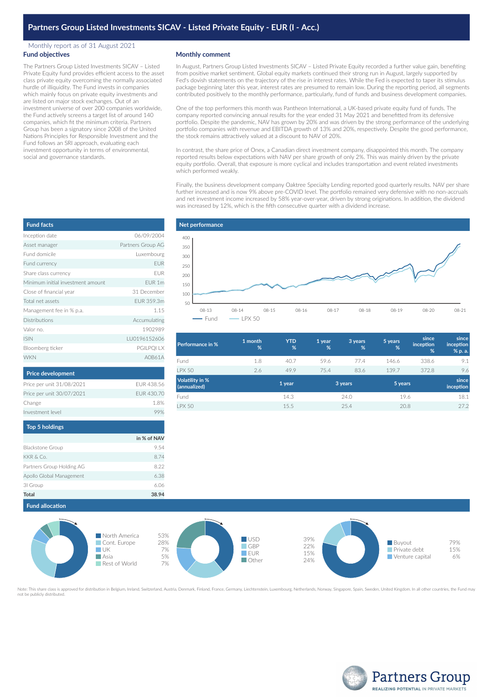# **Partners Group Listed Investments SICAV - Listed Private Equity - EUR (I - Acc.)**

#### Monthly report as of 31 August 2021 **Fund objectives**

The Partners Group Listed Investments SICAV – Listed Private Equity fund provides efficient access to the asset class private equity overcoming the normally associated hurdle of illiquidity. The Fund invests in companies which mainly focus on private equity investments and are listed on major stock exchanges. Out of an investment universe of over 200 companies worldwide, the Fund actively screens a target list of around 140 companies, which fit the minimum criteria. Partners Group has been a signatory since 2008 of the United Nations Principles for Responsible Investment and the Fund follows an SRI approach, evaluating each investment opportunity in terms of environmental, social and governance standards.

## **Monthly comment**

In August, Partners Group Listed Investments SICAV – Listed Private Equity recorded a further value gain, benefiting from positive market sentiment. Global equity markets continued their strong run in August, largely supported by Fed's dovish statements on the trajectory of the rise in interest rates. While the Fed is expected to taper its stimulus package beginning later this year, interest rates are presumed to remain low. During the reporting period, all segments contributed positively to the monthly performance, particularly, fund of funds and business development companies.

One of the top performers this month was Pantheon International, a UK-based private equity fund of funds. The company reported convincing annual results for the year ended 31 May 2021 and benefitted from its defensive portfolio. Despite the pandemic, NAV has grown by 20% and was driven by the strong performance of the underlying portfolio companies with revenue and EBITDA growth of 13% and 20%, respectively. Despite the good performance, the stock remains attractively valued at a discount to NAV of 20%.

In contrast, the share price of Onex, a Canadian direct investment company, disappointed this month. The company reported results below expectations with NAV per share growth of only 2%. This was mainly driven by the private equity portfolio. Overall, that exposure is more cyclical and includes transportation and event related investments which performed weakly.

Finally, the business development company Oaktree Specialty Lending reported good quarterly results. NAV per share further increased and is now 9% above pre-COVID level. The portfolio remained very defensive with no non-accruals and net investment income increased by 58% year-over-year, driven by strong originations. In addition, the dividend was increased by 12%, which is the fifth consecutive quarter with a dividend increase.

| <b>Fund facts</b>                 |                   |
|-----------------------------------|-------------------|
| Inception date                    | 06/09/2004        |
| Asset manager                     | Partners Group AG |
| Fund domicile                     | Luxembourg        |
| Fund currency                     | <b>EUR</b>        |
| Share class currency              | <b>EUR</b>        |
| Minimum initial investment amount | FUR <sub>1m</sub> |
| Close of financial year           | 31 December       |
| Total net assets                  | FUR 359.3m        |
| Management fee in % p.a.          | 1.15              |
| Distributions                     | Accumulating      |
| Valor no                          | 1902989           |
| <b>ISIN</b>                       | LU0196152606      |
| Bloomberg ticker                  | PGILPQI LX        |
| <b>WKN</b>                        | A0B61A            |
|                                   |                   |

| <b>Price development</b>  |            |
|---------------------------|------------|
| Price per unit 31/08/2021 | FUR 438.56 |
| Price per unit 30/07/2021 | EUR 430.70 |
| Change                    | 18%        |
| Investment level          |            |

| in % of NAV |
|-------------|
| 9.54        |
| 8.74        |
| 8.22        |
| 6.38        |
| 6.06        |
| 38.94       |
|             |



| 1 month<br>% | <b>YTD</b><br>% | 1 year<br>% | 3 years<br>% | 5 years<br>% | since<br>inception<br>% | since<br>inception<br>% p. a. |
|--------------|-----------------|-------------|--------------|--------------|-------------------------|-------------------------------|
| 1.8          | 40.7            | 59.6        | 77.4         | 146.6        | 338.6                   | 9.1                           |
| 2.6          | 49.9            | 75.4        | 83.6         | 139.7        | 372.8                   | 9.6                           |
|              | 1 year          |             |              |              |                         | since<br>inception            |
|              | 14.3            |             | 24.0         |              |                         | 18.1                          |
|              | 15.5            |             | 25.4         |              |                         | 27.2                          |
|              |                 |             |              | 3 years      |                         | 5 years<br>19.6<br>20.8       |



Note: This share class is approved for distribution in Belgium, Ireland, Switzerland, Austria, Denmark, Finland, France, Germany, Liechtenstein, Luxembourg, Netherlands, Norway, Singapore, Spain, Sweden, United Kingdom. In not be publicly distributed.<br>not be publicly distributed



| rs Group Holding AG |                              |
|---------------------|------------------------------|
| Global Management   |                              |
| up                  |                              |
|                     |                              |
| d allocation        |                              |
|                     | $\blacksquare$ North $\land$ |

**Fun**